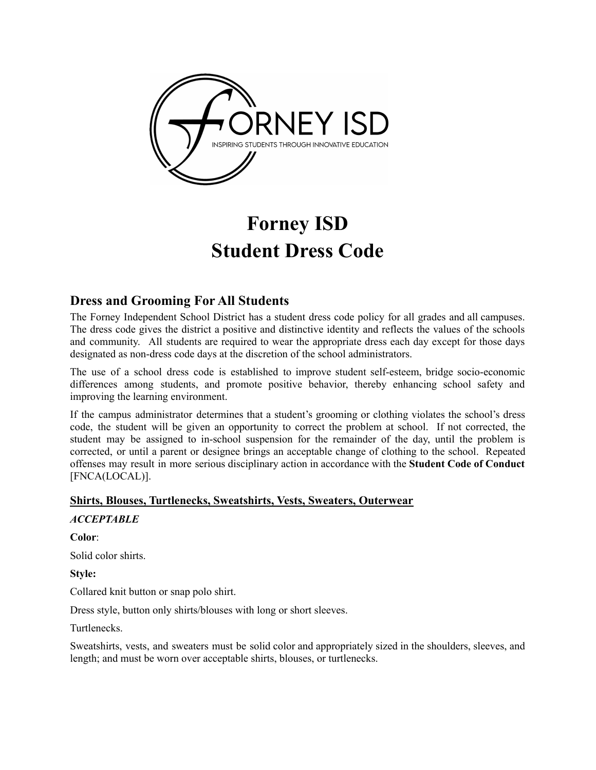

# **Forney ISD Student Dress Code**

# **Dress and Grooming For All Students**

The Forney Independent School District has a student dress code policy for all grades and all campuses. The dress code gives the district a positive and distinctive identity and reflects the values of the schools and community. All students are required to wear the appropriate dress each day except for those days designated as non-dress code days at the discretion of the school administrators.

The use of a school dress code is established to improve student self-esteem, bridge socio-economic differences among students, and promote positive behavior, thereby enhancing school safety and improving the learning environment.

If the campus administrator determines that a student's grooming or clothing violates the school's dress code, the student will be given an opportunity to correct the problem at school. If not corrected, the student may be assigned to in-school suspension for the remainder of the day, until the problem is corrected, or until a parent or designee brings an acceptable change of clothing to the school. Repeated offenses may result in more serious disciplinary action in accordance with the **Student Code of Conduct** [FNCA(LOCAL)].

# **Shirts, Blouses, Turtlenecks, Sweatshirts, Vests, Sweaters, Outerwear**

*ACCEPTABLE*

**Color**: Solid color shirts. **Style:**

Collared knit button or snap polo shirt.

Dress style, button only shirts/blouses with long or short sleeves.

Turtlenecks.

Sweatshirts, vests, and sweaters must be solid color and appropriately sized in the shoulders, sleeves, and length; and must be worn over acceptable shirts, blouses, or turtlenecks.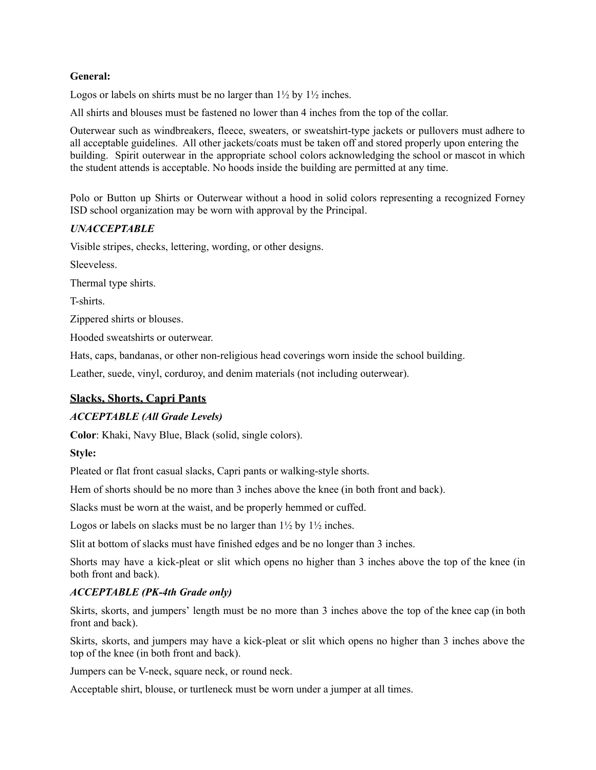## **General:**

Logos or labels on shirts must be no larger than  $1\frac{1}{2}$  by  $1\frac{1}{2}$  inches.

All shirts and blouses must be fastened no lower than 4 inches from the top of the collar.

Outerwear such as windbreakers, fleece, sweaters, or sweatshirt-type jackets or pullovers must adhere to all acceptable guidelines. All other jackets/coats must be taken off and stored properly upon entering the building. Spirit outerwear in the appropriate school colors acknowledging the school or mascot in which the student attends is acceptable. No hoods inside the building are permitted at any time.

Polo or Button up Shirts or Outerwear without a hood in solid colors representing a recognized Forney ISD school organization may be worn with approval by the Principal.

## *UNACCEPTABLE*

Visible stripes, checks, lettering, wording, or other designs.

**Sleeveless** 

Thermal type shirts.

T-shirts.

Zippered shirts or blouses.

Hooded sweatshirts or outerwear.

Hats, caps, bandanas, or other non-religious head coverings worn inside the school building.

Leather, suede, vinyl, corduroy, and denim materials (not including outerwear).

## **Slacks, Shorts, Capri Pants**

## *ACCEPTABLE (All Grade Levels)*

**Color**: Khaki, Navy Blue, Black (solid, single colors).

#### **Style:**

Pleated or flat front casual slacks, Capri pants or walking-style shorts.

Hem of shorts should be no more than 3 inches above the knee (in both front and back).

Slacks must be worn at the waist, and be properly hemmed or cuffed.

Logos or labels on slacks must be no larger than  $1\frac{1}{2}$  by  $1\frac{1}{2}$  inches.

Slit at bottom of slacks must have finished edges and be no longer than 3 inches.

Shorts may have a kick-pleat or slit which opens no higher than 3 inches above the top of the knee (in both front and back).

## *ACCEPTABLE (PK-4th Grade only)*

Skirts, skorts, and jumpers' length must be no more than 3 inches above the top of the knee cap (in both front and back).

Skirts, skorts, and jumpers may have a kick-pleat or slit which opens no higher than 3 inches above the top of the knee (in both front and back).

Jumpers can be V-neck, square neck, or round neck.

Acceptable shirt, blouse, or turtleneck must be worn under a jumper at all times.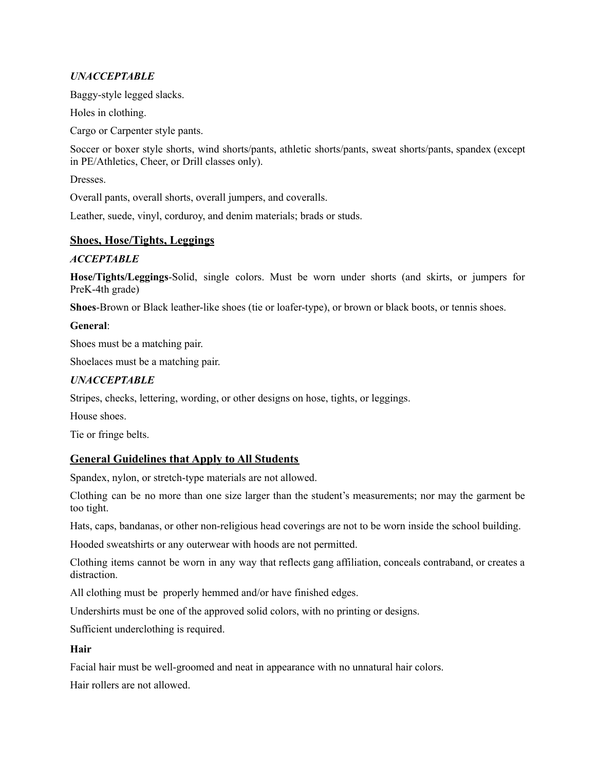# *UNACCEPTABLE*

Baggy-style legged slacks.

Holes in clothing.

Cargo or Carpenter style pants.

Soccer or boxer style shorts, wind shorts/pants, athletic shorts/pants, sweat shorts/pants, spandex (except in PE/Athletics, Cheer, or Drill classes only).

Dresses.

Overall pants, overall shorts, overall jumpers, and coveralls.

Leather, suede, vinyl, corduroy, and denim materials; brads or studs.

# **Shoes, Hose/Tights, Leggings**

## *ACCEPTABLE*

**Hose/Tights/Leggings**-Solid, single colors. Must be worn under shorts (and skirts, or jumpers for PreK-4th grade)

**Shoes**-Brown or Black leather-like shoes (tie or loafer-type), or brown or black boots, or tennis shoes.

## **General**:

Shoes must be a matching pair.

Shoelaces must be a matching pair.

## *UNACCEPTABLE*

Stripes, checks, lettering, wording, or other designs on hose, tights, or leggings.

House shoes.

Tie or fringe belts.

# **General Guidelines that Apply to All Students**

Spandex, nylon, or stretch-type materials are not allowed.

Clothing can be no more than one size larger than the student's measurements; nor may the garment be too tight.

Hats, caps, bandanas, or other non-religious head coverings are not to be worn inside the school building.

Hooded sweatshirts or any outerwear with hoods are not permitted.

Clothing items cannot be worn in any way that reflects gang affiliation, conceals contraband, or creates a distraction.

All clothing must be properly hemmed and/or have finished edges.

Undershirts must be one of the approved solid colors, with no printing or designs.

Sufficient underclothing is required.

## **Hair**

Facial hair must be well-groomed and neat in appearance with no unnatural hair colors.

Hair rollers are not allowed.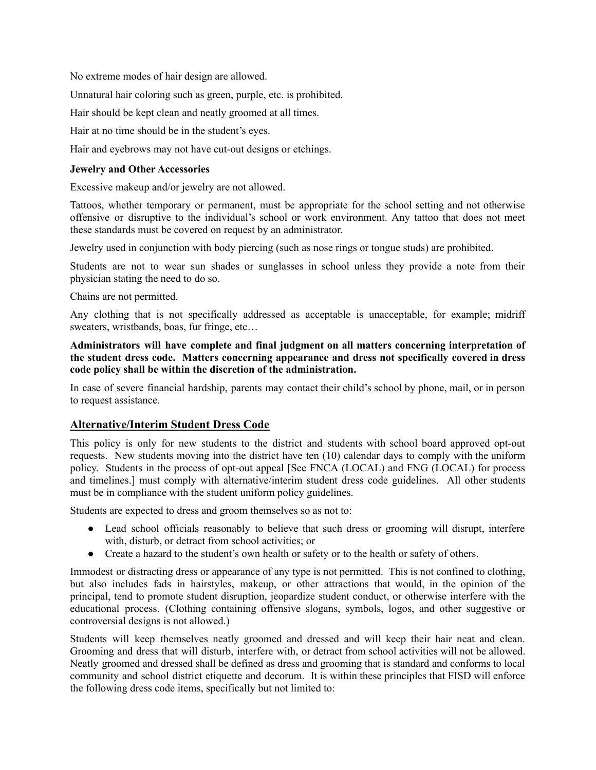No extreme modes of hair design are allowed.

Unnatural hair coloring such as green, purple, etc. is prohibited.

Hair should be kept clean and neatly groomed at all times.

Hair at no time should be in the student's eyes.

Hair and eyebrows may not have cut-out designs or etchings.

#### **Jewelry and Other Accessories**

Excessive makeup and/or jewelry are not allowed.

Tattoos, whether temporary or permanent, must be appropriate for the school setting and not otherwise offensive or disruptive to the individual's school or work environment. Any tattoo that does not meet these standards must be covered on request by an administrator.

Jewelry used in conjunction with body piercing (such as nose rings or tongue studs) are prohibited.

Students are not to wear sun shades or sunglasses in school unless they provide a note from their physician stating the need to do so.

Chains are not permitted.

Any clothing that is not specifically addressed as acceptable is unacceptable, for example; midriff sweaters, wristbands, boas, fur fringe, etc…

## **Administrators will have complete and final judgment on all matters concerning interpretation of the student dress code. Matters concerning appearance and dress not specifically covered in dress code policy shall be within the discretion of the administration.**

In case of severe financial hardship, parents may contact their child's school by phone, mail, or in person to request assistance.

## **Alternative/Interim Student Dress Code**

This policy is only for new students to the district and students with school board approved opt-out requests. New students moving into the district have ten (10) calendar days to comply with the uniform policy. Students in the process of opt-out appeal [See FNCA (LOCAL) and FNG (LOCAL) for process and timelines.] must comply with alternative/interim student dress code guidelines. All other students must be in compliance with the student uniform policy guidelines.

Students are expected to dress and groom themselves so as not to:

- Lead school officials reasonably to believe that such dress or grooming will disrupt, interfere with, disturb, or detract from school activities; or
- Create a hazard to the student's own health or safety or to the health or safety of others.

Immodest or distracting dress or appearance of any type is not permitted. This is not confined to clothing, but also includes fads in hairstyles, makeup, or other attractions that would, in the opinion of the principal, tend to promote student disruption, jeopardize student conduct, or otherwise interfere with the educational process. (Clothing containing offensive slogans, symbols, logos, and other suggestive or controversial designs is not allowed.)

Students will keep themselves neatly groomed and dressed and will keep their hair neat and clean. Grooming and dress that will disturb, interfere with, or detract from school activities will not be allowed. Neatly groomed and dressed shall be defined as dress and grooming that is standard and conforms to local community and school district etiquette and decorum. It is within these principles that FISD will enforce the following dress code items, specifically but not limited to: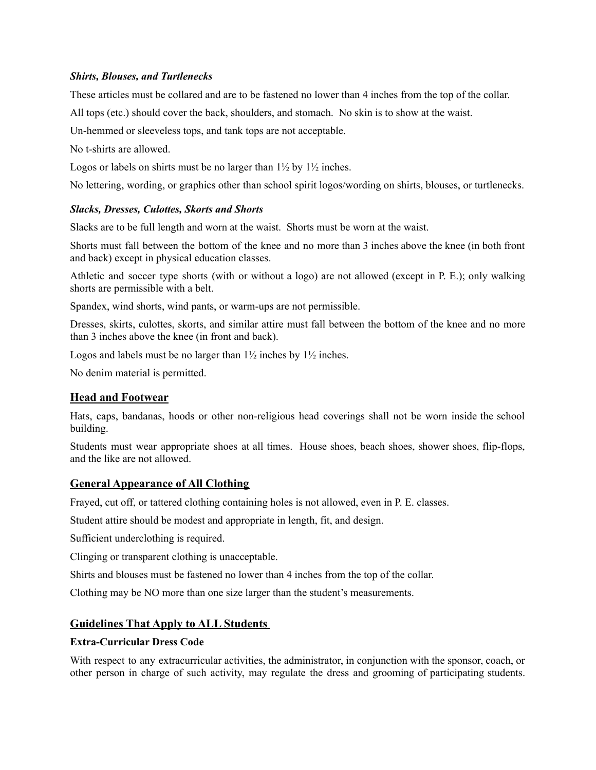## *Shirts, Blouses, and Turtlenecks*

These articles must be collared and are to be fastened no lower than 4 inches from the top of the collar.

All tops (etc.) should cover the back, shoulders, and stomach. No skin is to show at the waist.

Un-hemmed or sleeveless tops, and tank tops are not acceptable.

No t-shirts are allowed.

Logos or labels on shirts must be no larger than  $1\frac{1}{2}$  by  $1\frac{1}{2}$  inches.

No lettering, wording, or graphics other than school spirit logos/wording on shirts, blouses, or turtlenecks.

## *Slacks, Dresses, Culottes, Skorts and Shorts*

Slacks are to be full length and worn at the waist. Shorts must be worn at the waist.

Shorts must fall between the bottom of the knee and no more than 3 inches above the knee (in both front and back) except in physical education classes.

Athletic and soccer type shorts (with or without a logo) are not allowed (except in P. E.); only walking shorts are permissible with a belt.

Spandex, wind shorts, wind pants, or warm-ups are not permissible.

Dresses, skirts, culottes, skorts, and similar attire must fall between the bottom of the knee and no more than 3 inches above the knee (in front and back).

Logos and labels must be no larger than  $1\frac{1}{2}$  inches by  $1\frac{1}{2}$  inches.

No denim material is permitted.

# **Head and Footwear**

Hats, caps, bandanas, hoods or other non-religious head coverings shall not be worn inside the school building.

Students must wear appropriate shoes at all times. House shoes, beach shoes, shower shoes, flip-flops, and the like are not allowed.

# **General Appearance of All Clothing**

Frayed, cut off, or tattered clothing containing holes is not allowed, even in P. E. classes.

Student attire should be modest and appropriate in length, fit, and design.

Sufficient underclothing is required.

Clinging or transparent clothing is unacceptable.

Shirts and blouses must be fastened no lower than 4 inches from the top of the collar.

Clothing may be NO more than one size larger than the student's measurements.

# **Guidelines That Apply to ALL Students**

## **Extra-Curricular Dress Code**

With respect to any extracurricular activities, the administrator, in conjunction with the sponsor, coach, or other person in charge of such activity, may regulate the dress and grooming of participating students.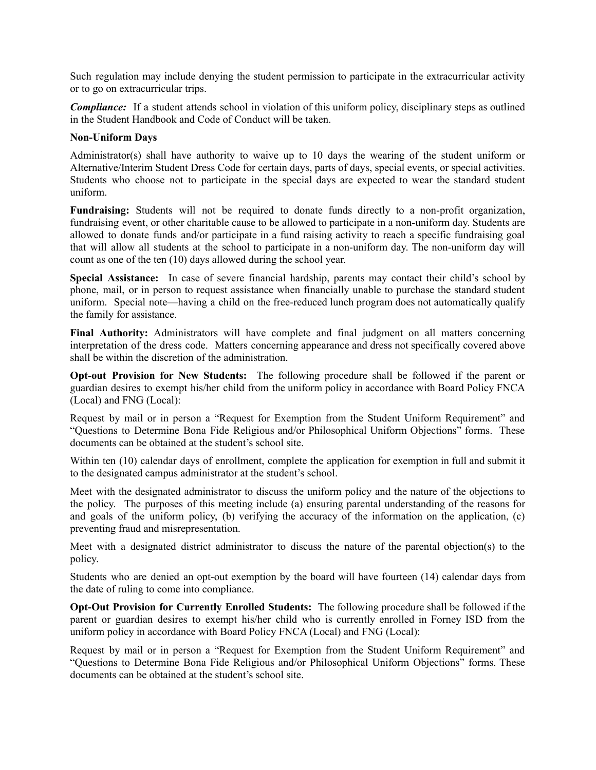Such regulation may include denying the student permission to participate in the extracurricular activity or to go on extracurricular trips.

*Compliance*: If a student attends school in violation of this uniform policy, disciplinary steps as outlined in the Student Handbook and Code of Conduct will be taken.

#### **Non-Uniform Days**

Administrator(s) shall have authority to waive up to 10 days the wearing of the student uniform or Alternative/Interim Student Dress Code for certain days, parts of days, special events, or special activities. Students who choose not to participate in the special days are expected to wear the standard student uniform.

**Fundraising:** Students will not be required to donate funds directly to a non-profit organization, fundraising event, or other charitable cause to be allowed to participate in a non-uniform day. Students are allowed to donate funds and/or participate in a fund raising activity to reach a specific fundraising goal that will allow all students at the school to participate in a non-uniform day. The non-uniform day will count as one of the ten (10) days allowed during the school year.

**Special Assistance:** In case of severe financial hardship, parents may contact their child's school by phone, mail, or in person to request assistance when financially unable to purchase the standard student uniform. Special note—having a child on the free-reduced lunch program does not automatically qualify the family for assistance.

**Final Authority:** Administrators will have complete and final judgment on all matters concerning interpretation of the dress code. Matters concerning appearance and dress not specifically covered above shall be within the discretion of the administration.

**Opt-out Provision for New Students:** The following procedure shall be followed if the parent or guardian desires to exempt his/her child from the uniform policy in accordance with Board Policy FNCA (Local) and FNG (Local):

Request by mail or in person a "Request for Exemption from the Student Uniform Requirement" and "Questions to Determine Bona Fide Religious and/or Philosophical Uniform Objections" forms. These documents can be obtained at the student's school site.

Within ten (10) calendar days of enrollment, complete the application for exemption in full and submit it to the designated campus administrator at the student's school.

Meet with the designated administrator to discuss the uniform policy and the nature of the objections to the policy. The purposes of this meeting include (a) ensuring parental understanding of the reasons for and goals of the uniform policy, (b) verifying the accuracy of the information on the application, (c) preventing fraud and misrepresentation.

Meet with a designated district administrator to discuss the nature of the parental objection(s) to the policy.

Students who are denied an opt-out exemption by the board will have fourteen (14) calendar days from the date of ruling to come into compliance.

**Opt-Out Provision for Currently Enrolled Students:** The following procedure shall be followed if the parent or guardian desires to exempt his/her child who is currently enrolled in Forney ISD from the uniform policy in accordance with Board Policy FNCA (Local) and FNG (Local):

Request by mail or in person a "Request for Exemption from the Student Uniform Requirement" and "Questions to Determine Bona Fide Religious and/or Philosophical Uniform Objections" forms. These documents can be obtained at the student's school site.